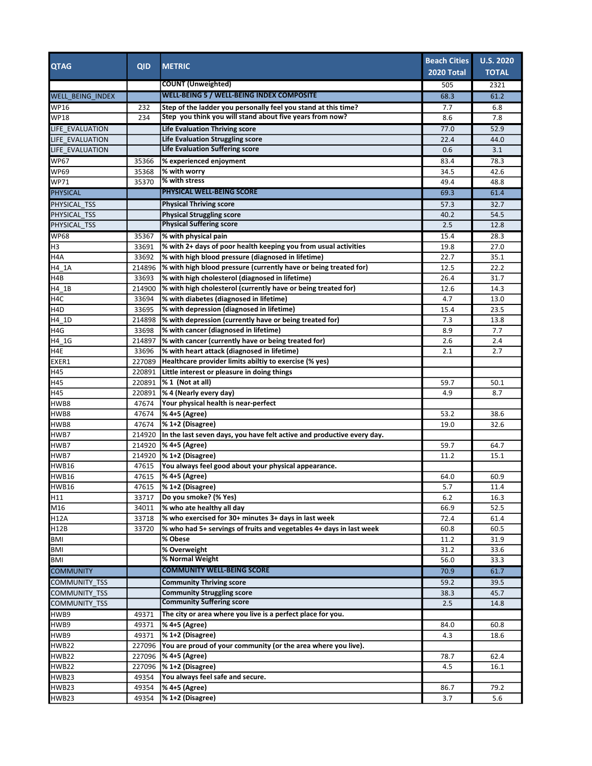| <b>QTAG</b>                        | <b>QID</b> | <b>METRIC</b>                                                                                                              | <b>Beach Cities</b><br><b>2020 Total</b> | <b>U.S. 2020</b><br><b>TOTAL</b> |
|------------------------------------|------------|----------------------------------------------------------------------------------------------------------------------------|------------------------------------------|----------------------------------|
|                                    |            | <b>COUNT</b> (Unweighted)                                                                                                  |                                          |                                  |
| <b>WELL BEING INDEX</b>            |            | <b>WELL-BEING 5 / WELL-BEING INDEX COMPOSITE</b>                                                                           | 505<br>68.3                              | 2321<br>61.2                     |
|                                    |            |                                                                                                                            |                                          |                                  |
| <b>WP16</b><br>WP18                | 232<br>234 | Step of the ladder you personally feel you stand at this time?<br>Step you think you will stand about five years from now? | 7.7<br>8.6                               | 6.8<br>7.8                       |
|                                    |            |                                                                                                                            | 77.0                                     | 52.9                             |
| LIFE EVALUATION<br>LIFE EVALUATION |            | Life Evaluation Thriving score<br><b>Life Evaluation Struggling score</b>                                                  | 22.4                                     | 44.0                             |
| LIFE_EVALUATION                    |            | <b>Life Evaluation Suffering score</b>                                                                                     | 0.6                                      | 3.1                              |
| WP67                               | 35366      | % experienced enjoyment                                                                                                    | 83.4                                     | 78.3                             |
| <b>WP69</b>                        | 35368      | % with worry                                                                                                               | 34.5                                     | 42.6                             |
| WP71                               | 35370      | % with stress                                                                                                              | 49.4                                     | 48.8                             |
| PHYSICAL                           |            | PHYSICAL WELL-BEING SCORE                                                                                                  | 69.3                                     | 61.4                             |
| PHYSICAL TSS                       |            | <b>Physical Thriving score</b>                                                                                             | 57.3                                     | 32.7                             |
| PHYSICAL TSS                       |            | <b>Physical Struggling score</b>                                                                                           | 40.2                                     | 54.5                             |
| PHYSICAL_TSS                       |            | <b>Physical Suffering score</b>                                                                                            | 2.5                                      | 12.8                             |
| <b>WP68</b>                        | 35367      | % with physical pain                                                                                                       | 15.4                                     | 28.3                             |
| H3                                 | 33691      | % with 2+ days of poor health keeping you from usual activities                                                            | 19.8                                     | 27.0                             |
| H4A                                | 33692      | % with high blood pressure (diagnosed in lifetime)                                                                         | 22.7                                     | 35.1                             |
| H4_1A                              | 214896     | % with high blood pressure (currently have or being treated for)                                                           | 12.5                                     | 22.2                             |
| H4B                                | 33693      | % with high cholesterol (diagnosed in lifetime)                                                                            | 26.4                                     | 31.7                             |
| H4_1B                              | 214900     | % with high cholesterol (currently have or being treated for)                                                              | 12.6                                     | 14.3                             |
| H4C                                | 33694      | % with diabetes (diagnosed in lifetime)                                                                                    | 4.7                                      | 13.0                             |
| H4D                                | 33695      | % with depression (diagnosed in lifetime)                                                                                  | 15.4                                     | 23.5                             |
| H4_1D                              | 214898     | % with depression (currently have or being treated for)                                                                    | 7.3                                      | 13.8                             |
| H4G                                | 33698      | % with cancer (diagnosed in lifetime)                                                                                      | 8.9                                      | 7.7                              |
| H4_1G                              | 214897     | % with cancer (currently have or being treated for)                                                                        | 2.6                                      | 2.4                              |
| H4E                                | 33696      | % with heart attack (diagnosed in lifetime)                                                                                | 2.1                                      | 2.7                              |
| EXER1                              | 227089     | Healthcare provider limits abiltiy to exercise (% yes)                                                                     |                                          |                                  |
| H45                                | 220891     | Little interest or pleasure in doing things                                                                                |                                          |                                  |
| H45                                | 220891     | % 1 (Not at all)                                                                                                           | 59.7                                     | 50.1                             |
| H45                                | 220891     | % 4 (Nearly every day)                                                                                                     | 4.9                                      | 8.7                              |
| HWB8                               | 47674      | Your physical health is near-perfect                                                                                       |                                          |                                  |
| HWB8                               | 47674      | % 4+5 (Agree)                                                                                                              | 53.2                                     | 38.6                             |
| HWB8                               | 47674      | % 1+2 (Disagree)                                                                                                           | 19.0                                     | 32.6                             |
| HWB7                               | 214920     | In the last seven days, you have felt active and productive every day.                                                     |                                          |                                  |
| HWB7                               | 214920     | % 4+5 (Agree)                                                                                                              | 59.7                                     | 64.7                             |
| HWB7                               | 214920     | $\frac{1}{6}$ 1+2 (Disagree)                                                                                               | 11.2                                     | 15.1                             |
| HWB16                              | 47615      | You always feel good about your physical appearance.                                                                       |                                          |                                  |
| HWB16                              | 47615      | % 4+5 (Agree)                                                                                                              | 64.0                                     | 60.9                             |
| <b>HWB16</b>                       |            | 47615   % 1+2 (Disagree)                                                                                                   | 5.7                                      | 11.4                             |
| H11                                | 33717      | Do you smoke? (% Yes)                                                                                                      | 6.2                                      | 16.3                             |
| M16                                | 34011      | % who ate healthy all day                                                                                                  | 66.9                                     | 52.5                             |
| <b>H12A</b>                        | 33718      | % who exercised for 30+ minutes 3+ days in last week                                                                       | 72.4                                     | 61.4                             |
| H12B                               | 33720      | % who had 5+ servings of fruits and vegetables 4+ days in last week                                                        | 60.8                                     | 60.5                             |
| BMI                                |            | % Obese                                                                                                                    | 11.2                                     | 31.9                             |
| <b>BMI</b>                         |            | % Overweight                                                                                                               | 31.2                                     | 33.6                             |
| BMI                                |            | % Normal Weight                                                                                                            | 56.0                                     | 33.3                             |
| <b>COMMUNITY</b>                   |            | <b>COMMUNITY WELL-BEING SCORE</b>                                                                                          | 70.9                                     | 61.7                             |
| <b>COMMUNITY TSS</b>               |            | <b>Community Thriving score</b>                                                                                            | 59.2                                     | 39.5                             |
| COMMUNITY TSS                      |            | <b>Community Struggling score</b>                                                                                          | 38.3                                     | 45.7                             |
| COMMUNITY_TSS                      |            | <b>Community Suffering score</b>                                                                                           | 2.5                                      | 14.8                             |
| HWB9                               | 49371      | The city or area where you live is a perfect place for you.                                                                |                                          |                                  |
| HWB9                               | 49371      | % 4+5 (Agree)                                                                                                              | 84.0                                     | 60.8                             |
| HWB9                               | 49371      | % 1+2 (Disagree)                                                                                                           | 4.3                                      | 18.6                             |
| HWB22                              | 227096     | You are proud of your community (or the area where you live).                                                              |                                          |                                  |
| HWB22                              | 227096     | % 4+5 (Agree)                                                                                                              | 78.7                                     | 62.4                             |
| <b>HWB22</b>                       | 227096     | % 1+2 (Disagree)                                                                                                           | 4.5                                      | 16.1                             |
| HWB23                              | 49354      | You always feel safe and secure.                                                                                           |                                          |                                  |
| HWB23                              | 49354      | % 4+5 (Agree)                                                                                                              | 86.7                                     | 79.2                             |
| HWB23                              | 49354      | % 1+2 (Disagree)                                                                                                           | 3.7                                      | 5.6                              |
|                                    |            |                                                                                                                            |                                          |                                  |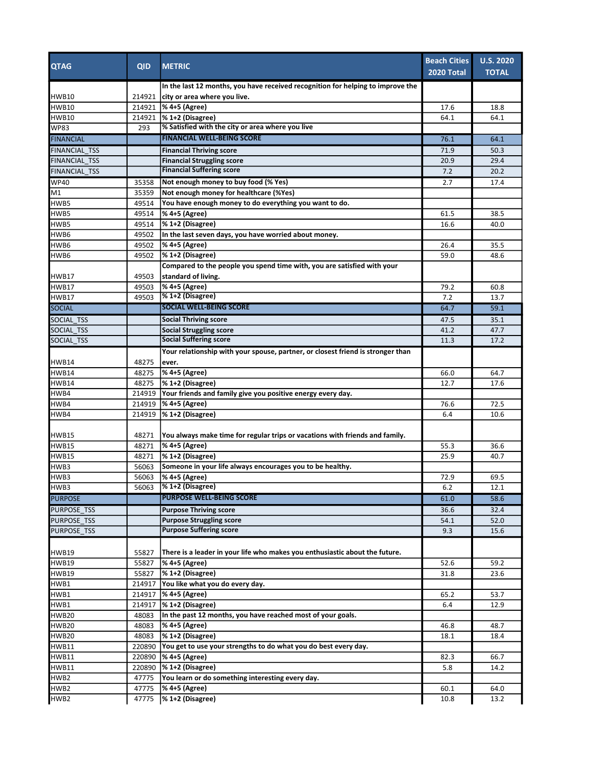| <b>QTAG</b>          | <b>QID</b> | <b>METRIC</b>                                                                                                   | <b>Beach Cities</b><br>2020 Total | <b>U.S. 2020</b><br><b>TOTAL</b> |
|----------------------|------------|-----------------------------------------------------------------------------------------------------------------|-----------------------------------|----------------------------------|
| <b>HWB10</b>         | 214921     | In the last 12 months, you have received recognition for helping to improve the<br>city or area where you live. |                                   |                                  |
| <b>HWB10</b>         | 214921     | % 4+5 (Agree)                                                                                                   | 17.6                              | 18.8                             |
| <b>HWB10</b>         | 214921     | % 1+2 (Disagree)                                                                                                | 64.1                              | 64.1                             |
| <b>WP83</b>          | 293        | % Satisfied with the city or area where you live                                                                |                                   |                                  |
| <b>FINANCIAL</b>     |            | <b>FINANCIAL WELL-BEING SCORE</b>                                                                               | 76.1                              | 64.1                             |
| <b>FINANCIAL TSS</b> |            | <b>Financial Thriving score</b>                                                                                 | 71.9                              | 50.3                             |
| <b>FINANCIAL TSS</b> |            | <b>Financial Struggling score</b>                                                                               | 20.9                              | 29.4                             |
| <b>FINANCIAL TSS</b> |            | <b>Financial Suffering score</b>                                                                                | 7.2                               | 20.2                             |
| <b>WP40</b>          | 35358      | Not enough money to buy food (% Yes)                                                                            | 2.7                               | 17.4                             |
| M1                   | 35359      | Not enough money for healthcare (%Yes)                                                                          |                                   |                                  |
| HWB5                 | 49514      | You have enough money to do everything you want to do.                                                          |                                   |                                  |
| HWB5                 | 49514      | % 4+5 (Agree)                                                                                                   | 61.5                              | 38.5                             |
| HWB5                 | 49514      | % 1+2 (Disagree)                                                                                                | 16.6                              | 40.0                             |
| HWB6                 | 49502      | In the last seven days, you have worried about money.                                                           |                                   |                                  |
| HWB6                 | 49502      | % 4+5 (Agree)                                                                                                   | 26.4                              | 35.5                             |
| HWB6                 | 49502      | % 1+2 (Disagree)                                                                                                | 59.0                              | 48.6                             |
|                      |            | Compared to the people you spend time with, you are satisfied with your                                         |                                   |                                  |
| HWB17                | 49503      | standard of living.                                                                                             |                                   |                                  |
| <b>HWB17</b>         | 49503      | % 4+5 (Agree)                                                                                                   | 79.2                              | 60.8                             |
| <b>HWB17</b>         | 49503      | % 1+2 (Disagree)                                                                                                | 7.2                               | 13.7                             |
| <b>SOCIAL</b>        |            | <b>SOCIAL WELL-BEING SCORE</b>                                                                                  | 64.7                              | 59.1                             |
| <b>SOCIAL TSS</b>    |            | <b>Social Thriving score</b>                                                                                    | 47.5                              | 35.1                             |
| <b>SOCIAL TSS</b>    |            | <b>Social Struggling score</b>                                                                                  | 41.2                              | 47.7                             |
| SOCIAL TSS           |            | <b>Social Suffering score</b>                                                                                   | 11.3                              | 17.2                             |
|                      |            | Your relationship with your spouse, partner, or closest friend is stronger than                                 |                                   |                                  |
| <b>HWB14</b>         | 48275      | ever.                                                                                                           |                                   |                                  |
| HWB14                | 48275      | % 4+5 (Agree)                                                                                                   | 66.0                              | 64.7                             |
| <b>HWB14</b>         | 48275      | % 1+2 (Disagree)                                                                                                | 12.7                              | 17.6                             |
| HWB4                 | 214919     | Your friends and family give you positive energy every day.                                                     |                                   |                                  |
| HWB4                 | 214919     | % 4+5 (Agree)                                                                                                   | 76.6                              | 72.5                             |
| HWB4                 | 214919     | % 1+2 (Disagree)                                                                                                | 6.4                               | 10.6                             |
| <b>HWB15</b>         | 48271      | You always make time for regular trips or vacations with friends and family.                                    |                                   |                                  |
| <b>HWB15</b>         | 48271      | % 4+5 (Agree)                                                                                                   | 55.3                              | 36.6                             |
| <b>HWB15</b>         | 48271      | % 1+2 (Disagree)                                                                                                | 25.9                              | 40.7                             |
| HWB3                 | 56063      | Someone in your life always encourages you to be healthy.                                                       |                                   |                                  |
| HWB3                 | 56063      | % 4+5 (Agree)                                                                                                   | 72.9                              | 69.5                             |
| HWB3                 | 56063      | $\sqrt{81+2}$ (Disagree)                                                                                        | b.Z                               | 12.1                             |
| <b>PURPOSE</b>       |            | <b>PURPOSE WELL-BEING SCORE</b>                                                                                 | 61.0                              | 58.6                             |
| <b>PURPOSE TSS</b>   |            | <b>Purpose Thriving score</b>                                                                                   | 36.6                              | 32.4                             |
| <b>PURPOSE TSS</b>   |            | <b>Purpose Struggling score</b>                                                                                 | 54.1                              | 52.0                             |
| <b>PURPOSE TSS</b>   |            | <b>Purpose Suffering score</b>                                                                                  | 9.3                               | 15.6                             |
| <b>HWB19</b>         | 55827      | There is a leader in your life who makes you enthusiastic about the future.                                     |                                   |                                  |
| <b>HWB19</b>         | 55827      | % 4+5 (Agree)                                                                                                   | 52.6                              | 59.2                             |
| HWB19                | 55827      | % 1+2 (Disagree)                                                                                                | 31.8                              | 23.6                             |
| HWB1                 | 214917     | You like what you do every day.                                                                                 |                                   |                                  |
| HWB1                 | 214917     | % 4+5 (Agree)                                                                                                   | 65.2                              | 53.7                             |
| HWB1                 | 214917     | % 1+2 (Disagree)                                                                                                | 6.4                               | 12.9                             |
| <b>HWB20</b>         | 48083      | In the past 12 months, you have reached most of your goals.                                                     |                                   |                                  |
| <b>HWB20</b>         | 48083      | % 4+5 (Agree)                                                                                                   | 46.8                              | 48.7                             |
| <b>HWB20</b>         | 48083      | % 1+2 (Disagree)                                                                                                | 18.1                              | 18.4                             |
| <b>HWB11</b>         | 220890     | You get to use your strengths to do what you do best every day.                                                 |                                   |                                  |
| <b>HWB11</b>         | 220890     | % 4+5 (Agree)                                                                                                   | 82.3                              | 66.7                             |
| <b>HWB11</b>         | 220890     | $\frac{1}{6}$ 1+2 (Disagree)                                                                                    | 5.8                               | 14.2                             |
| HWB2                 | 47775      | You learn or do something interesting every day.                                                                |                                   |                                  |
| HWB2                 | 47775      | % 4+5 (Agree)                                                                                                   | 60.1                              | 64.0                             |
| HWB2                 | 47775      | $\frac{1}{2}$ (Disagree)                                                                                        | 10.8                              | 13.2                             |
|                      |            |                                                                                                                 |                                   |                                  |